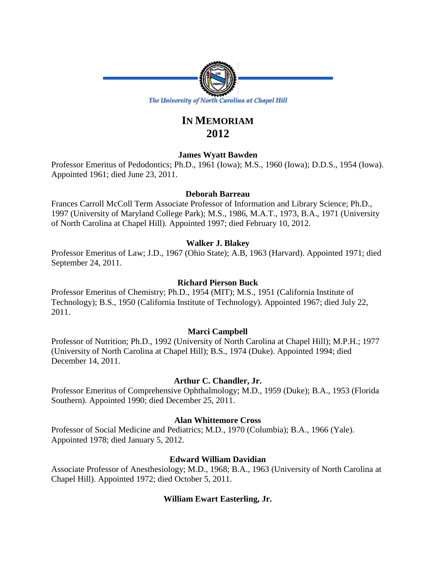

# **IN MEMORIAM 2012**

# **James Wyatt Bawden**

Professor Emeritus of Pedodontics; Ph.D., 1961 (Iowa); M.S., 1960 (Iowa); D.D.S., 1954 (Iowa). Appointed 1961; died June 23, 2011.

# **Deborah Barreau**

Frances Carroll McColl Term Associate Professor of Information and Library Science; Ph.D., 1997 (University of Maryland College Park); M.S., 1986, M.A.T., 1973, B.A., 1971 (University of North Carolina at Chapel Hill). Appointed 1997; died February 10, 2012.

# **Walker J. Blakey**

Professor Emeritus of Law; J.D., 1967 (Ohio State); A.B, 1963 (Harvard). Appointed 1971; died September 24, 2011.

# **Richard Pierson Buck**

Professor Emeritus of Chemistry; Ph.D., 1954 (MIT); M.S., 1951 (California Institute of Technology); B.S., 1950 (California Institute of Technology). Appointed 1967; died July 22, 2011.

# **Marci Campbell**

Professor of Nutrition; Ph.D., 1992 (University of North Carolina at Chapel Hill); M.P.H.; 1977 (University of North Carolina at Chapel Hill); B.S., 1974 (Duke). Appointed 1994; died December 14, 2011.

# **Arthur C. Chandler, Jr.**

Professor Emeritus of Comprehensive Ophthalmology; M.D., 1959 (Duke); B.A., 1953 (Florida Southern). Appointed 1990; died December 25, 2011.

# **Alan Whittemore Cross**

Professor of Social Medicine and Pediatrics; M.D., 1970 (Columbia); B.A., 1966 (Yale). Appointed 1978; died January 5, 2012.

# **Edward William Davidian**

Associate Professor of Anesthesiology; M.D., 1968; B.A., 1963 (University of North Carolina at Chapel Hill). Appointed 1972; died October 5, 2011.

# **William Ewart Easterling, Jr.**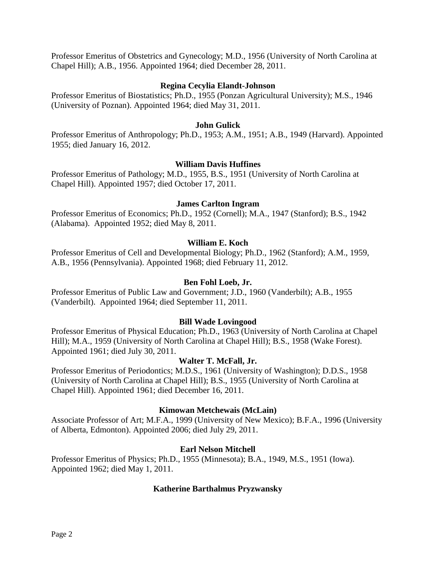Professor Emeritus of Obstetrics and Gynecology; M.D., 1956 (University of North Carolina at Chapel Hill); A.B., 1956. Appointed 1964; died December 28, 2011.

# **Regina Cecylia Elandt-Johnson**

Professor Emeritus of Biostatistics; Ph.D., 1955 (Ponzan Agricultural University); M.S., 1946 (University of Poznan). Appointed 1964; died May 31, 2011.

# **John Gulick**

Professor Emeritus of Anthropology; Ph.D., 1953; A.M., 1951; A.B., 1949 (Harvard). Appointed 1955; died January 16, 2012.

#### **William Davis Huffines**

Professor Emeritus of Pathology; M.D., 1955, B.S., 1951 (University of North Carolina at Chapel Hill). Appointed 1957; died October 17, 2011.

#### **James Carlton Ingram**

Professor Emeritus of Economics; Ph.D., 1952 (Cornell); M.A., 1947 (Stanford); B.S., 1942 (Alabama). Appointed 1952; died May 8, 2011.

#### **William E. Koch**

Professor Emeritus of Cell and Developmental Biology; Ph.D., 1962 (Stanford); A.M., 1959, A.B., 1956 (Pennsylvania). Appointed 1968; died February 11, 2012.

## **Ben Fohl Loeb, Jr.**

Professor Emeritus of Public Law and Government; J.D., 1960 (Vanderbilt); A.B., 1955 (Vanderbilt). Appointed 1964; died September 11, 2011.

#### **Bill Wade Lovingood**

Professor Emeritus of Physical Education; Ph.D., 1963 (University of North Carolina at Chapel Hill); M.A., 1959 (University of North Carolina at Chapel Hill); B.S., 1958 (Wake Forest). Appointed 1961; died July 30, 2011.

# **Walter T. McFall, Jr.**

Professor Emeritus of Periodontics; M.D.S., 1961 (University of Washington); D.D.S., 1958 (University of North Carolina at Chapel Hill); B.S., 1955 (University of North Carolina at Chapel Hill). Appointed 1961; died December 16, 2011.

#### **Kimowan Metchewais (McLain)**

Associate Professor of Art; M.F.A., 1999 (University of New Mexico); B.F.A., 1996 (University of Alberta, Edmonton). Appointed 2006; died July 29, 2011.

# **Earl Nelson Mitchell**

Professor Emeritus of Physics; Ph.D., 1955 (Minnesota); B.A., 1949, M.S., 1951 (Iowa). Appointed 1962; died May 1, 2011.

# **Katherine Barthalmus Pryzwansky**